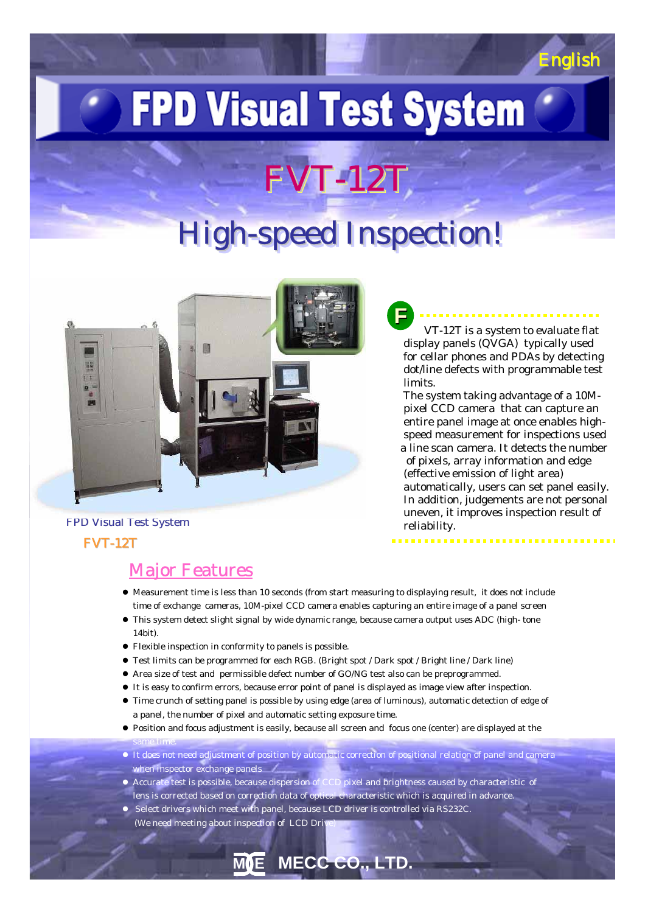# **FPD Visual Test System**

## FVT-12T

### High-speed Inspection!



VT-12T is a system to evaluate flat display panels (QVGA) typically used for cellar phones and PDAs by detecting dot/line defects with programmable test limits. **F**

English English

The system taking advantage of a 10Mpixel CCD camera that can capture an entire panel image at once enables highspeed measurement for inspections used a line scan camera. It detects the number of pixels, array information and edge (effective emission of light area) automatically, users can set panel easily. In addition, judgements are not personal uneven, it improves inspection result of reliability.

#### FVT-12T FPD Visual Test System

same time.

#### Major Features

- $\bullet$  Measurement time is less than 10 seconds (from start measuring to displaying result, it does not include time of exchange cameras, 10M-pixel CCD camera enables capturing an entire image of a panel screen
- $\bullet$  This system detect slight signal by wide dynamic range, because camera output uses ADC (high- tone 14bit).
- z Flexible inspection in conformity to panels is possible.
- Test limits can be programmed for each RGB. (Bright spot / Dark spot / Bright line / Dark line)
- Area size of test and permissible defect number of GO/NG test also can be preprogrammed.
- $\bullet$  It is easy to confirm errors, because error point of panel is displayed as image view after inspection.
- Time crunch of setting panel is possible by using edge (area of luminous), automatic detection of edge of a panel, the number of pixel and automatic setting exposure time.
- Position and focus adjustment is easily, because all screen and focus one (center) are displayed at the
- $\bullet$  It does not need adjustment of position by automatic correction of positional relation of panel and camera when inspector exchange panels /

**M E MECC CO., LTD.**

- Accurate test is possible, because dispersion of CCD pixel and brightness caused by characteristic of lens is corrected based on correction data of optical characteristic which is acquired in advance.
- Select drivers which meet with panel, because LCD driver is controlled via RS232C. (We need meeting about inspection of LCD Driv